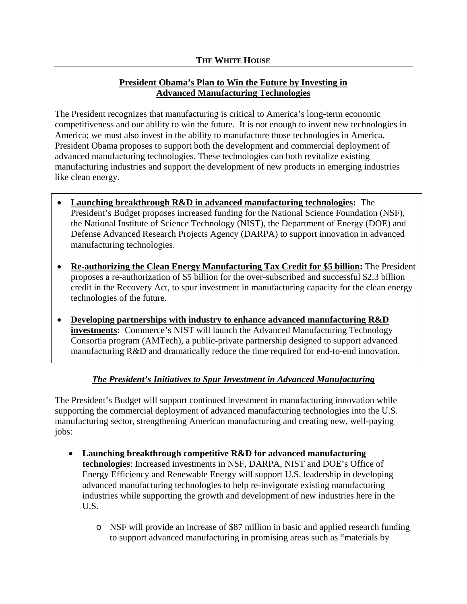## **President Obama's Plan to Win the Future by Investing in Advanced Manufacturing Technologies**

The President recognizes that manufacturing is critical to America's long-term economic competitiveness and our ability to win the future. It is not enough to invent new technologies in America; we must also invest in the ability to manufacture those technologies in America. President Obama proposes to support both the development and commercial deployment of advanced manufacturing technologies. These technologies can both revitalize existing manufacturing industries and support the development of new products in emerging industries like clean energy.

- **Launching breakthrough R&D in advanced manufacturing technologies:** The President's Budget proposes increased funding for the National Science Foundation (NSF), the National Institute of Science Technology (NIST), the Department of Energy (DOE) and Defense Advanced Research Projects Agency (DARPA) to support innovation in advanced manufacturing technologies.
- **Re-authorizing the Clean Energy Manufacturing Tax Credit for \$5 billion:** The President proposes a re-authorization of \$5 billion for the over-subscribed and successful \$2.3 billion credit in the Recovery Act, to spur investment in manufacturing capacity for the clean energy technologies of the future.
- **Developing partnerships with industry to enhance advanced manufacturing R&D investments:** Commerce's NIST will launch the Advanced Manufacturing Technology Consortia program (AMTech), a public-private partnership designed to support advanced manufacturing R&D and dramatically reduce the time required for end-to-end innovation.

## *The President's Initiatives to Spur Investment in Advanced Manufacturing*

The President's Budget will support continued investment in manufacturing innovation while supporting the commercial deployment of advanced manufacturing technologies into the U.S. manufacturing sector, strengthening American manufacturing and creating new, well-paying jobs:

- **Launching breakthrough competitive R&D for advanced manufacturing technologies**: Increased investments in NSF, DARPA, NIST and DOE's Office of Energy Efficiency and Renewable Energy will support U.S. leadership in developing advanced manufacturing technologies to help re-invigorate existing manufacturing industries while supporting the growth and development of new industries here in the U.S.
	- o NSF will provide an increase of \$87 million in basic and applied research funding to support advanced manufacturing in promising areas such as "materials by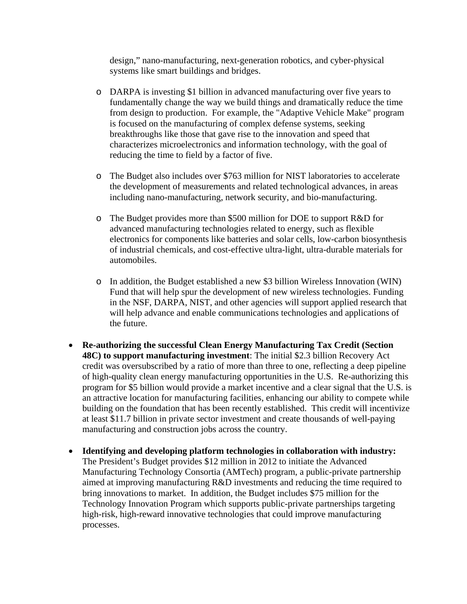design," nano-manufacturing, next-generation robotics, and cyber-physical systems like smart buildings and bridges.

- o DARPA is investing \$1 billion in advanced manufacturing over five years to fundamentally change the way we build things and dramatically reduce the time from design to production. For example, the "Adaptive Vehicle Make" program is focused on the manufacturing of complex defense systems, seeking breakthroughs like those that gave rise to the innovation and speed that characterizes microelectronics and information technology, with the goal of reducing the time to field by a factor of five.
- o The Budget also includes over \$763 million for NIST laboratories to accelerate the development of measurements and related technological advances, in areas including nano-manufacturing, network security, and bio-manufacturing.
- o The Budget provides more than \$500 million for DOE to support R&D for advanced manufacturing technologies related to energy, such as flexible electronics for components like batteries and solar cells, low-carbon biosynthesis of industrial chemicals, and cost-effective ultra-light, ultra-durable materials for automobiles.
- o In addition, the Budget established a new \$3 billion Wireless Innovation (WIN) Fund that will help spur the development of new wireless technologies. Funding in the NSF, DARPA, NIST, and other agencies will support applied research that will help advance and enable communications technologies and applications of the future.
- **Re-authorizing the successful Clean Energy Manufacturing Tax Credit (Section 48C) to support manufacturing investment**: The initial \$2.3 billion Recovery Act credit was oversubscribed by a ratio of more than three to one, reflecting a deep pipeline of high-quality clean energy manufacturing opportunities in the U.S. Re-authorizing this program for \$5 billion would provide a market incentive and a clear signal that the U.S. is an attractive location for manufacturing facilities, enhancing our ability to compete while building on the foundation that has been recently established. This credit will incentivize at least \$11.7 billion in private sector investment and create thousands of well-paying manufacturing and construction jobs across the country.
- **Identifying and developing platform technologies in collaboration with industry:**  The President's Budget provides \$12 million in 2012 to initiate the Advanced Manufacturing Technology Consortia (AMTech) program, a public-private partnership aimed at improving manufacturing R&D investments and reducing the time required to bring innovations to market. In addition, the Budget includes \$75 million for the Technology Innovation Program which supports public-private partnerships targeting high-risk, high-reward innovative technologies that could improve manufacturing processes.